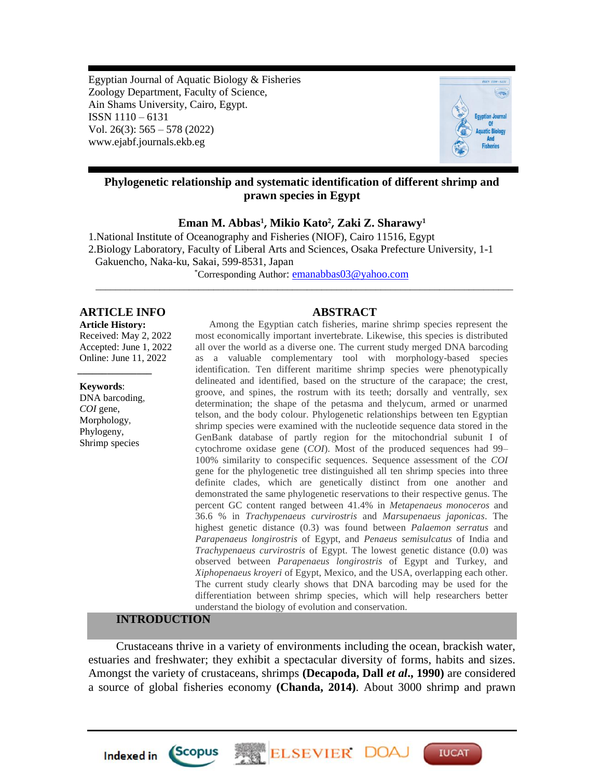Egyptian Journal of Aquatic Biology & Fisheries Zoology Department, Faculty of Science, Ain Shams University, Cairo, Egypt. ISSN 1110 – 6131 Vol. 26(3): 565 – 578 (2022) www.ejabf.journals.ekb.eg



## **Phylogenetic relationship and systematic identification of different shrimp and prawn species in Egypt**

**Eman M. Abbas<sup>1</sup> , Mikio Kato<sup>2</sup> , Zaki Z. Sharawy<sup>1</sup>**

1.National Institute of Oceanography and Fisheries (NIOF), Cairo 11516, Egypt 2.Biology Laboratory, Faculty of Liberal Arts and Sciences, Osaka Prefecture University, 1-1 Gakuencho, Naka-ku, Sakai, 599-8531, Japan

\*Corresponding Author: [emanabbas03@yahoo.com](mailto:emanabbas03@yahoo.com) *\_\_\_\_\_\_\_\_\_\_\_\_\_\_\_\_\_\_\_\_\_\_\_\_\_\_\_\_\_\_\_\_\_\_\_\_\_\_\_\_\_\_\_\_\_\_\_\_\_\_\_\_\_\_\_\_\_\_\_\_\_\_\_\_\_\_\_\_\_\_\_\_\_\_\_\_\_\_\_\_\_\_\_\_\_*

#### **ARTICLE INFO ABSTRACT**

**Article History:**

Received: May 2, 2022 Accepted: June 1, 2022 Online: June 11, 2022 *\_\_\_\_\_\_\_\_\_\_\_\_\_\_\_*

**Keywords**:

DNA barcoding, *COI* gene, Morphology, Phylogeny, Shrimp species

Among the Egyptian catch fisheries, marine shrimp species represent the most economically important invertebrate. Likewise, this species is distributed all over the world as a diverse one. The current study merged DNA barcoding as a valuable complementary tool with morphology-based species identification. Ten different maritime shrimp species were phenotypically delineated and identified, based on the structure of the carapace; the crest, groove, and spines, the rostrum with its teeth; dorsally and ventrally, sex determination; the shape of the petasma and thelycum, armed or unarmed telson, and the body colour. Phylogenetic relationships between ten Egyptian shrimp species were examined with the nucleotide sequence data stored in the GenBank database of partly region for the mitochondrial subunit I of cytochrome oxidase gene (*COI*). Most of the produced sequences had 99– 100% similarity to conspecific sequences. Sequence assessment of the *COI* gene for the phylogenetic tree distinguished all ten shrimp species into three definite clades, which are genetically distinct from one another and demonstrated the same phylogenetic reservations to their respective genus. The percent GC content ranged between 41.4% in *Metapenaeus monoceros* and 36.6 % in *Trachypenaeus curvirostris* and *Marsupenaeus japonicas*. The highest genetic distance (0.3) was found between *Palaemon serratus* and *Parapenaeus longirostris* of Egypt, and *Penaeus semisulcatus* of India and *Trachypenaeus curvirostris* of Egypt. The lowest genetic distance (0.0) was observed between *Parapenaeus longirostris* of Egypt and Turkey, and *Xiphopenaeus kroyeri* of Egypt, Mexico, and the USA, overlapping each other. The current study clearly shows that DNA barcoding may be used for the differentiation between shrimp species, which will help researchers better understand the biology of evolution and conservation.

## **INTRODUCTION**

*Scopus* 

**Indexed in** 

Crustaceans thrive in a variety of environments including the ocean, brackish water, estuaries and freshwater; they exhibit a spectacular diversity of forms, habits and sizes. Amongst the variety of crustaceans, shrimps **(Decapoda, Dall** *et al***., 1990)** are considered a source of global fisheries economy **(Chanda, 2014)**. About 3000 shrimp and prawn

**ELSEVIER DO** 

**IUCAT**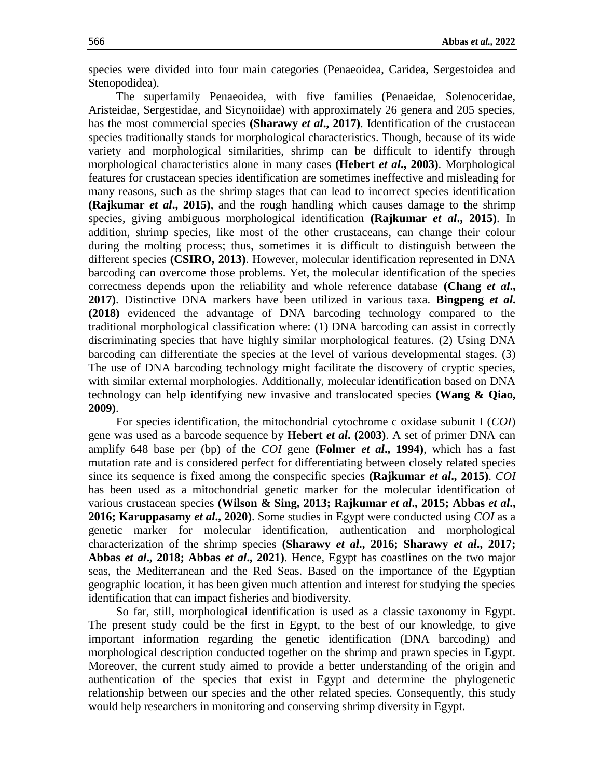species were divided into four main categories (Penaeoidea, Caridea, Sergestoidea and Stenopodidea).

The superfamily Penaeoidea, with five families (Penaeidae, Solenoceridae, Aristeidae, Sergestidae, and Sicynoiidae) with approximately 26 genera and 205 species, has the most commercial species **(Sharawy** *et al***., 2017)**. Identification of the crustacean species traditionally stands for morphological characteristics. Though, because of its wide variety and morphological similarities, shrimp can be difficult to identify through morphological characteristics alone in many cases **(Hebert** *et al***., 2003)**. Morphological features for crustacean species identification are sometimes ineffective and misleading for many reasons, such as the shrimp stages that can lead to incorrect species identification **(Rajkumar** *et al***., 2015)**, and the rough handling which causes damage to the shrimp species, giving ambiguous morphological identification **(Rajkumar** *et al***., 2015)**. In addition, shrimp species, like most of the other crustaceans, can change their colour during the molting process; thus, sometimes it is difficult to distinguish between the different species **(CSIRO, 2013)**. However, molecular identification represented in DNA barcoding can overcome those problems. Yet, the molecular identification of the species correctness depends upon the reliability and whole reference database **(Chang** *et al***., 2017)**. Distinctive DNA markers have been utilized in various taxa. **Bingpeng** *et al***. (2018)** evidenced the advantage of DNA barcoding technology compared to the traditional morphological classification where: (1) DNA barcoding can assist in correctly discriminating species that have highly similar morphological features. (2) Using DNA barcoding can differentiate the species at the level of various developmental stages. (3) The use of DNA barcoding technology might facilitate the discovery of cryptic species, with similar external morphologies. Additionally, molecular identification based on DNA technology can help identifying new invasive and translocated species **(Wang & Qiao, 2009)**.

For species identification, the mitochondrial cytochrome c oxidase subunit I (*COI*) gene was used as a barcode sequence by **Hebert** *et al***. (2003)**. A set of primer DNA can amplify 648 base per (bp) of the *COI* gene **(Folmer** *et al***., 1994)**, which has a fast mutation rate and is considered perfect for differentiating between closely related species since its sequence is fixed among the conspecific species **(Rajkumar** *et al***., 2015)**. *COI* has been used as a mitochondrial genetic marker for the molecular identification of various crustacean species **(Wilson & Sing, 2013; Rajkumar** *et al***., 2015; Abbas** *et al***., 2016; Karuppasamy** *et al***., 2020)**. Some studies in Egypt were conducted using *COI* as a genetic marker for molecular identification, authentication and morphological characterization of the shrimp species **(Sharawy** *et al***., 2016; Sharawy** *et al***., 2017; Abbas** *et al***., 2018; Abbas** *et al***., 2021)**. Hence, Egypt has coastlines on the two major seas, the Mediterranean and the Red Seas. Based on the importance of the Egyptian geographic location, it has been given much attention and interest for studying the species identification that can impact fisheries and biodiversity.

So far, still, morphological identification is used as a classic taxonomy in Egypt. The present study could be the first in Egypt, to the best of our knowledge, to give important information regarding the genetic identification (DNA barcoding) and morphological description conducted together on the shrimp and prawn species in Egypt. Moreover, the current study aimed to provide a better understanding of the origin and authentication of the species that exist in Egypt and determine the phylogenetic relationship between our species and the other related species. Consequently, this study would help researchers in monitoring and conserving shrimp diversity in Egypt.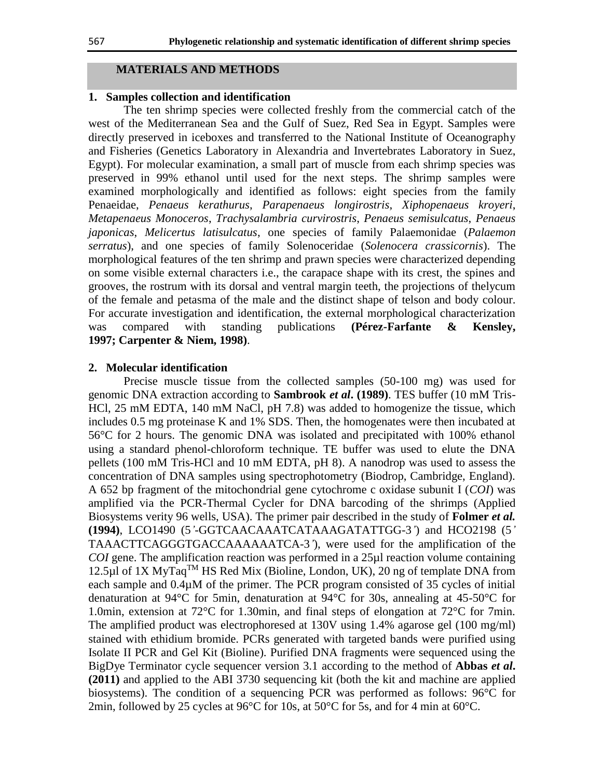#### **MATERIALS AND METHODS**

## **1. Samples collection and identification**

The ten shrimp species were collected freshly from the commercial catch of the west of the Mediterranean Sea and the Gulf of Suez, Red Sea in Egypt. Samples were directly preserved in iceboxes and transferred to the National Institute of Oceanography and Fisheries (Genetics Laboratory in Alexandria and Invertebrates Laboratory in Suez, Egypt). For molecular examination, a small part of muscle from each shrimp species was preserved in 99% ethanol until used for the next steps. The shrimp samples were examined morphologically and identified as follows: eight species from the family Penaeidae, *Penaeus kerathurus*, *Parapenaeus longirostris*, *Xiphopenaeus kroyeri*, *Metapenaeus Monoceros*, *Trachysalambria curvirostris*, *Penaeus semisulcatus*, *Penaeus japonicas*, *Melicertus latisulcatus*, one species of family Palaemonidae (*Palaemon serratus*), and one species of family [Solenoceridae](http://www.marinespecies.org/aphia.php?p=taxdetails&id=106729) (*Solenocera crassicornis*). The morphological features of the ten shrimp and prawn species were characterized depending on some visible external characters i.e., the carapace shape with its crest, the spines and grooves, the rostrum with its dorsal and ventral margin teeth, the projections of thelycum of the female and petasma of the male and the distinct shape of telson and body colour. For accurate investigation and identification, the external morphological characterization was compared with standing publications **(Pérez-Farfante & Kensley, 1997; Carpenter & Niem, 1998)**.

#### **2. Molecular identification**

Precise muscle tissue from the collected samples (50-100 mg) was used for genomic DNA extraction according to **Sambrook** *et al***. (1989)**. TES buffer (10 mM Tris-HCl, 25 mM EDTA, 140 mM NaCl, pH 7.8) was added to homogenize the tissue, which includes 0.5 mg proteinase K and 1% SDS. Then, the homogenates were then incubated at 56°C for 2 hours. The genomic DNA was isolated and precipitated with 100% ethanol using a standard phenol-chloroform technique. TE buffer was used to elute the DNA pellets (100 mM Tris-HCl and 10 mM EDTA, pH 8). A nanodrop was used to assess the concentration of DNA samples using spectrophotometry (Biodrop, Cambridge, England). A 652 bp fragment of the mitochondrial gene cytochrome c oxidase subunit I (*COI*) was amplified via the PCR-Thermal Cycler for DNA barcoding of the shrimps (Applied Biosystems verity 96 wells, USA). The primer pair described in the study of **Folmer** *et al.* **(1994)**, LCO1490 (5*'*-GGTCAACAAATCATAAAGATATTGG-3*'*) and HCO2198 (5*'* TAAACTTCAGGGTGACCAAAAAATCA-3*'*), were used for the amplification of the *COI* gene. The amplification reaction was performed in a 25µl reaction volume containing 12.5µl of 1X MyTaq<sup>TM</sup> HS Red Mix (Bioline, London, UK), 20 ng of template DNA from each sample and  $0.4\mu$ M of the primer. The PCR program consisted of 35 cycles of initial denaturation at 94°C for 5min, denaturation at 94°C for 30s, annealing at 45-50°C for 1.0min, extension at 72°C for 1.30min, and final steps of elongation at 72°C for 7min. The amplified product was electrophoresed at 130V using 1.4% agarose gel (100 mg/ml) stained with ethidium bromide. PCRs generated with targeted bands were purified using Isolate II PCR and Gel Kit (Bioline). Purified DNA fragments were sequenced using the BigDye Terminator cycle sequencer version 3.1 according to the method of **Abbas** *et al***. (2011)** and applied to the ABI 3730 sequencing kit (both the kit and machine are applied biosystems). The condition of a sequencing PCR was performed as follows: 96°C for 2min, followed by 25 cycles at 96 $^{\circ}$ C for 10s, at 50 $^{\circ}$ C for 5s, and for 4 min at 60 $^{\circ}$ C.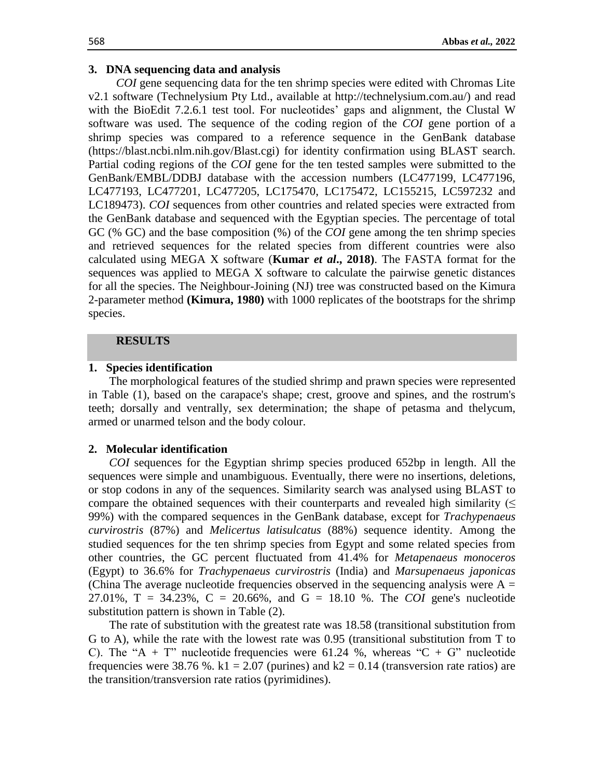### **3. DNA sequencing data and analysis**

*COI* gene sequencing data for the ten shrimp species were edited with Chromas Lite v2.1 software (Technelysium Pty Ltd., available at http://technelysium.com.au/) and read with the BioEdit 7.2.6.1 test tool. For nucleotides' gaps and alignment, the Clustal W software was used. The sequence of the coding region of the *COI* gene portion of a shrimp species was compared to a reference sequence in the GenBank database (https://blast.ncbi.nlm.nih.gov/Blast.cgi) for identity confirmation using BLAST search. Partial coding regions of the *COI* gene for the ten tested samples were submitted to the GenBank/EMBL/DDBJ database with the accession numbers (LC477199, LC477196, LC477193, LC477201, LC477205, LC175470, LC175472, LC155215, LC597232 and LC189473). *COI* sequences from other countries and related species were extracted from the GenBank database and sequenced with the Egyptian species. The percentage of total GC (% GC) and the base composition (%) of the *COI* gene among the ten shrimp species and retrieved sequences for the related species from different countries were also calculated using MEGA X software (**Kumar** *et al***., 2018)**. The FASTA format for the sequences was applied to MEGA X software to calculate the pairwise genetic distances for all the species. The Neighbour-Joining (NJ) tree was constructed based on the Kimura 2-parameter method **(Kimura, 1980)** with 1000 replicates of the bootstraps for the shrimp species.

## **RESULTS**

#### **1. Species identification**

The morphological features of the studied shrimp and prawn species were represented in Table (1), based on the carapace's shape; crest, groove and spines, and the rostrum's teeth; dorsally and ventrally, sex determination; the shape of petasma and thelycum, armed or unarmed telson and the body colour.

#### **2. Molecular identification**

*COI* sequences for the Egyptian shrimp species produced 652bp in length. All the sequences were simple and unambiguous. Eventually, there were no insertions, deletions, or stop codons in any of the sequences. Similarity search was analysed using BLAST to compare the obtained sequences with their counterparts and revealed high similarity  $($ 99%) with the compared sequences in the GenBank database, except for *Trachypenaeus curvirostris* (87%) and *Melicertus latisulcatus* (88%) sequence identity. Among the studied sequences for the ten shrimp species from Egypt and some related species from other countries, the GC percent fluctuated from 41.4% for *Metapenaeus monoceros* (Egypt) to 36.6% for *Trachypenaeus curvirostris* (India) and *Marsupenaeus japonicas* (China The average nucleotide frequencies observed in the sequencing analysis were  $A =$ 27.01%, T = 34.23%, C = 20.66%, and G = 18.10 %. The *COI* gene's nucleotide substitution pattern is shown in Table (2).

The rate of substitution with the greatest rate was 18.58 (transitional substitution from G to A), while the rate with the lowest rate was 0.95 (transitional substitution from T to C). The "A + T" nucleotide frequencies were 61.24 %, whereas "C + G" nucleotide frequencies were 38.76 %. k1 = 2.07 (purines) and k2 = 0.14 (transversion rate ratios) are the transition/transversion rate ratios (pyrimidines).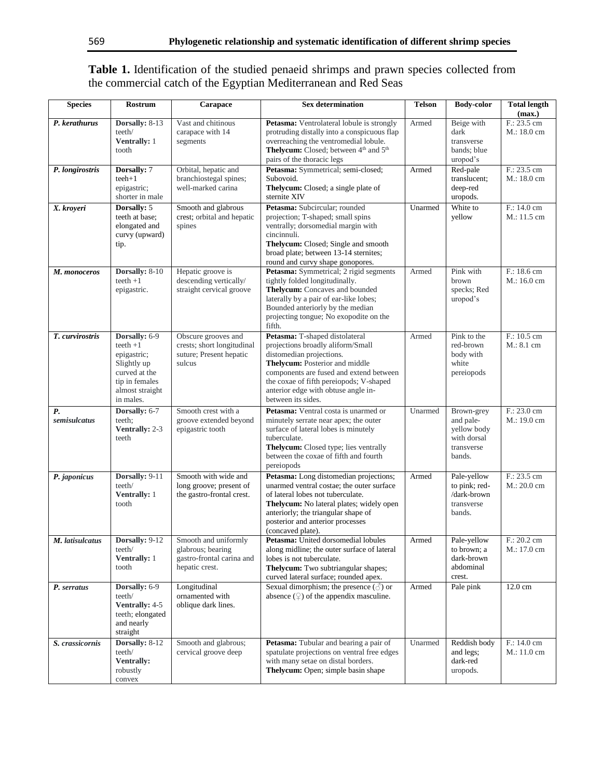# **Table 1.** Identification of the studied penaeid shrimps and prawn species collected from the commercial catch of the Egyptian Mediterranean and Red Seas

| <b>Species</b>            | Rostrum                                                                                                                       | Carapace                                                                                 | <b>Sex determination</b>                                                                                                                                                                                                                                                             | <b>Telson</b> | <b>Body-color</b>                                                             | <b>Total length</b><br>(max.)       |  |  |  |  |
|---------------------------|-------------------------------------------------------------------------------------------------------------------------------|------------------------------------------------------------------------------------------|--------------------------------------------------------------------------------------------------------------------------------------------------------------------------------------------------------------------------------------------------------------------------------------|---------------|-------------------------------------------------------------------------------|-------------------------------------|--|--|--|--|
| P. kerathurus             | Dorsally: 8-13<br>teeth/<br>Ventrally: 1<br>tooth                                                                             | Vast and chitinous<br>carapace with 14<br>segments                                       | Petasma: Ventrolateral lobule is strongly<br>protruding distally into a conspicuous flap<br>overreaching the ventromedial lobule.<br>Thelycum: Closed; between 4 <sup>th</sup> and 5 <sup>th</sup><br>pairs of the thoracic legs                                                     | Armed         | Beige with<br>dark<br>transverse<br>bands: blue<br>uropod's                   | F.: 23.5 cm<br>M.: 18.0 cm          |  |  |  |  |
| P. longirostris           | Dorsally: 7<br>$teeh+1$<br>epigastric;<br>shorter in male                                                                     | Orbital, hepatic and<br>branchiostegal spines;<br>well-marked carina                     | Petasma: Symmetrical; semi-closed;<br>Subovoid.<br>Thelycum: Closed; a single plate of<br>sternite XIV                                                                                                                                                                               | Armed         | Red-pale<br>translucent;<br>deep-red<br>uropods.                              | $F: 23.5$ cm<br>M.: 18.0 cm         |  |  |  |  |
| X. kroyeri                | Dorsally: 5<br>teeth at base;<br>elongated and<br>curvy (upward)<br>tip.                                                      | Smooth and glabrous<br>crest; orbital and hepatic<br>spines                              | Petasma: Subcircular; rounded<br>projection; T-shaped; small spins<br>ventrally; dorsomedial margin with<br>cincinnuli.<br>Thelycum: Closed; Single and smooth<br>broad plate; between 13-14 sternites;<br>round and curvy shape gonopores.                                          | Unarmed       | White to<br>yellow                                                            | F.: 14.0 cm<br>M.: 11.5 cm          |  |  |  |  |
| M. monoceros              | Dorsally: 8-10<br>$teeth + 1$<br>epigastric.                                                                                  | Hepatic groove is<br>descending vertically/<br>straight cervical groove                  | Petasma: Symmetrical; 2 rigid segments<br>tightly folded longitudinally.<br>Thelycum: Concaves and bounded<br>laterally by a pair of ear-like lobes;<br>Bounded anteriorly by the median<br>projecting tongue; No exopodite on the<br>fifth.                                         | Armed         | Pink with<br>brown<br>specks; Red<br>uropod's                                 | F.: 18.6 cm<br>M.: 16.0 cm          |  |  |  |  |
| T. curvirostris           | Dorsally: 6-9<br>$teeth + 1$<br>epigastric;<br>Slightly up<br>curved at the<br>tip in females<br>almost straight<br>in males. | Obscure grooves and<br>crests; short longitudinal<br>suture; Present hepatic<br>sulcus   | Petasma: T-shaped distolateral<br>projections broadly aliform/Small<br>distomedian projections.<br>Thelycum: Posterior and middle<br>components are fused and extend between<br>the coxae of fifth pereiopods; V-shaped<br>anterior edge with obtuse angle in-<br>between its sides. | Armed         | Pink to the<br>red-brown<br>body with<br>white<br>pereiopods                  | F.: 10.5 cm<br>M.: 8.1 cm           |  |  |  |  |
| <b>P.</b><br>semisulcatus | Dorsally: 6-7<br>teeth;<br>Ventrally: 2-3<br>teeth                                                                            | Smooth crest with a<br>groove extended beyond<br>epigastric tooth                        | Petasma: Ventral costa is unarmed or<br>minutely serrate near apex; the outer<br>surface of lateral lobes is minutely<br>tuberculate.<br>Thelycum: Closed type; lies ventrally<br>between the coxae of fifth and fourth<br>pereiopods                                                | Unarmed       | Brown-grey<br>and pale-<br>yellow body<br>with dorsal<br>transverse<br>bands. | F.: 23.0 cm<br>M.: 19.0 cm          |  |  |  |  |
| P. japonicus              | Dorsally: 9-11<br>teeth/<br>Ventrally: 1<br>tooth                                                                             | Smooth with wide and<br>long groove; present of<br>the gastro-frontal crest.             | Petasma: Long distomedian projections;<br>unarmed ventral costae; the outer surface<br>of lateral lobes not tuberculate.<br>Thelycum: No lateral plates; widely open<br>anteriorly; the triangular shape of<br>posterior and anterior processes<br>(concaved plate).                 | Armed         | Pale-yellow<br>to pink; red-<br>/dark-brown<br>transverse<br>bands.           | F.: 23.5 cm<br>$M: 20.0$ cm         |  |  |  |  |
| M. latisulcatus           | <b>Dorsally: 9-12</b><br>teeth/<br>Ventrally: 1<br>tooth                                                                      | Smooth and uniformly<br>glabrous; bearing<br>gastro-frontal carina and<br>hepatic crest. | <b>Petasma:</b> United dorsomedial lobules<br>along midline; the outer surface of lateral<br>lobes is not tuberculate.<br>Thelycum: Two subtriangular shapes;<br>curved lateral surface; rounded apex.                                                                               | Armed         | Pale-yellow<br>to brown; a<br>dark-brown<br>abdominal<br>crest.               | $F: 20.2 \text{ cm}$<br>M.: 17.0 cm |  |  |  |  |
| P. serratus               | Dorsally: 6-9<br>teeth/<br>Ventrally: 4-5<br>teeth; elongated<br>and nearly<br>straight                                       | Longitudinal<br>ornamented with<br>oblique dark lines.                                   | Sexual dimorphism; the presence $(\text{or})$ or<br>absence $(\mathcal{Q})$ of the appendix masculine.                                                                                                                                                                               | Armed         | Pale pink                                                                     | 12.0 cm                             |  |  |  |  |
| S. crassicornis           | Dorsally: 8-12<br>teeth/<br><b>Ventrally:</b><br>robustly<br>convex                                                           | Smooth and glabrous;<br>cervical groove deep                                             | Petasma: Tubular and bearing a pair of<br>spatulate projections on ventral free edges<br>with many setae on distal borders.<br>Thelycum: Open; simple basin shape                                                                                                                    | Unarmed       | Reddish body<br>and legs;<br>dark-red<br>uropods.                             | F.: 14.0 cm<br>$M: 11.0 \text{ cm}$ |  |  |  |  |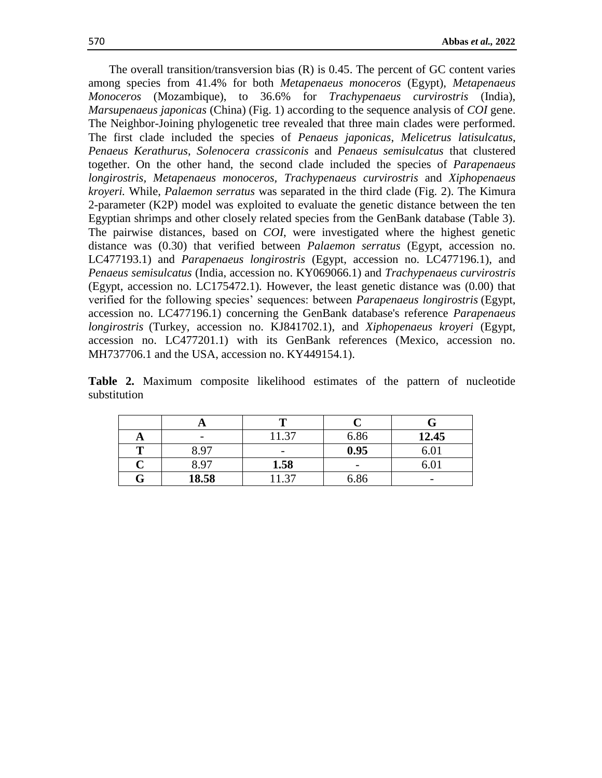The overall transition/transversion bias  $(R)$  is 0.45. The percent of GC content varies among species from 41.4% for both *Metapenaeus monoceros* (Egypt), *Metapenaeus Monoceros* (Mozambique), to 36.6% for *Trachypenaeus curvirostris* (India), *Marsupenaeus japonicas* (China) (Fig. 1) according to the sequence analysis of *COI* gene. The Neighbor-Joining phylogenetic tree revealed that three main clades were performed. The first clade included the species of *Penaeus japonicas*, *Melicetrus latisulcatus*, *Penaeus Kerathurus*, *Solenocera crassiconis* and *Penaeus semisulcatus* that clustered together. On the other hand, the second clade included the species of *Parapenaeus longirostris, Metapenaeus monoceros, Trachypenaeus curvirostris* and *Xiphopenaeus kroyeri.* While, *Palaemon serratus* was separated in the third clade (Fig. 2). The Kimura 2-parameter (K2P) model was exploited to evaluate the genetic distance between the ten Egyptian shrimps and other closely related species from the GenBank database (Table 3). The pairwise distances, based on *COI*, were investigated where the highest genetic distance was (0.30) that verified between *Palaemon serratus* (Egypt, accession no. LC477193.1) and *Parapenaeus longirostris* (Egypt, accession no. LC477196.1), and *Penaeus semisulcatus* (India, accession no. KY069066.1) and *Trachypenaeus curvirostris*  (Egypt, accession no. LC175472.1)*.* However, the least genetic distance was (0.00) that verified for the following species' sequences: between *Parapenaeus longirostris* (Egypt, accession no. LC477196.1) concerning the GenBank database's reference *Parapenaeus longirostris* (Turkey, accession no. KJ841702.1), and *Xiphopenaeus kroyeri* (Egypt*,*  accession no. LC477201.1) with its GenBank references (Mexico, accession no. MH737706.1 and the USA, accession no. KY449154.1).

**Table 2.** Maximum composite likelihood estimates of the pattern of nucleotide substitution

|   |       | m    |                          |       |  |  |  |  |  |
|---|-------|------|--------------------------|-------|--|--|--|--|--|
|   |       | 1.37 | 6.86                     | 12.45 |  |  |  |  |  |
| m | 8.97  |      | 0.95                     |       |  |  |  |  |  |
|   | 8.97  | 1.58 | $\overline{\phantom{a}}$ |       |  |  |  |  |  |
|   | 18.58 | 1.37 | 6.86                     |       |  |  |  |  |  |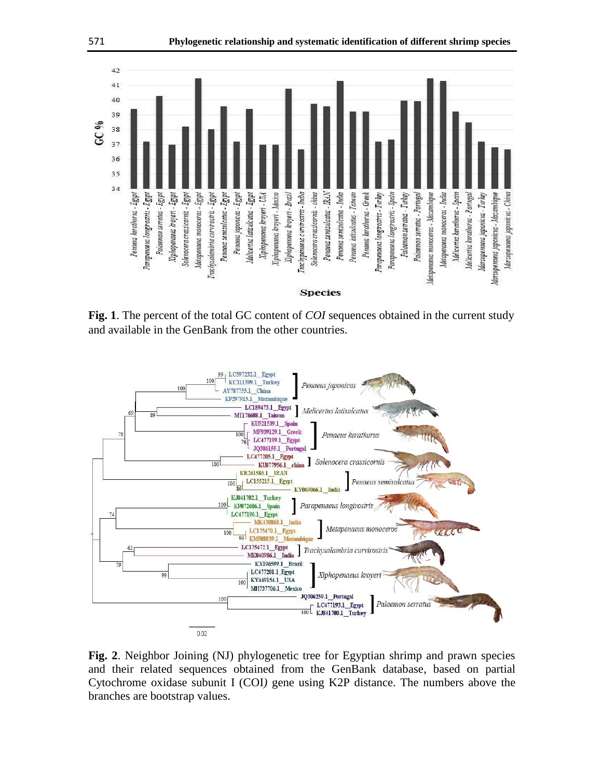

**Fig. 1**. The percent of the total GC content of *COI* sequences obtained in the current study and available in the GenBank from the other countries.



**Fig. 2**. Neighbor Joining (NJ) phylogenetic tree for Egyptian shrimp and prawn species and their related sequences obtained from the GenBank database, based on partial Cytochrome oxidase subunit I (COI*)* gene using K2P distance. The numbers above the branches are bootstrap values.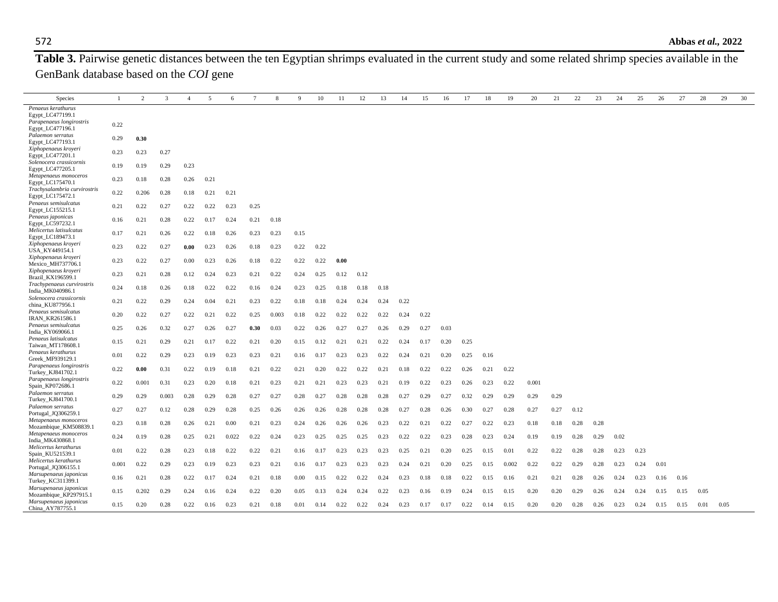Table 3. Pairwise genetic distances between the ten Egyptian shrimps evaluated in the current study and some related shrimp species available in the GenBank database based on the *COI* gene

| Species                                                     | 1     | 2     | 3     | $\overline{4}$ | 5    | 6     | $7\phantom{.0}$ | 8     | 9    | 10   | 11   | 12   | 13   | 14   | 15   | 16   | 17   | 18   | 19    | 20    | 21   | 22   | 23   | 24   | 25   | 26   | 27   | 28   | 29   | 30 |
|-------------------------------------------------------------|-------|-------|-------|----------------|------|-------|-----------------|-------|------|------|------|------|------|------|------|------|------|------|-------|-------|------|------|------|------|------|------|------|------|------|----|
| Penaeus kerathurus<br>Egypt_LC477199.1                      |       |       |       |                |      |       |                 |       |      |      |      |      |      |      |      |      |      |      |       |       |      |      |      |      |      |      |      |      |      |    |
| Parapenaeus longirostris<br>Egypt_LC477196.1                | 0.22  |       |       |                |      |       |                 |       |      |      |      |      |      |      |      |      |      |      |       |       |      |      |      |      |      |      |      |      |      |    |
| Palaemon serratus<br>Egypt_LC477193.1                       | 0.29  | 0.30  |       |                |      |       |                 |       |      |      |      |      |      |      |      |      |      |      |       |       |      |      |      |      |      |      |      |      |      |    |
| Xiphopenaeus kroyeri<br>Egypt_LC477201.1                    | 0.23  | 0.23  | 0.27  |                |      |       |                 |       |      |      |      |      |      |      |      |      |      |      |       |       |      |      |      |      |      |      |      |      |      |    |
| Solenocera crassicornis<br>Egypt LC477205.1                 | 0.19  | 0.19  | 0.29  | 0.23           |      |       |                 |       |      |      |      |      |      |      |      |      |      |      |       |       |      |      |      |      |      |      |      |      |      |    |
| Metapenaeus monoceros<br>Egypt LC175470.1                   | 0.23  | 0.18  | 0.28  | 0.26           | 0.21 |       |                 |       |      |      |      |      |      |      |      |      |      |      |       |       |      |      |      |      |      |      |      |      |      |    |
| Trachysalambria curvirostris<br>Egypt_LC175472.1            | 0.22  | 0.206 | 0.28  | 0.18           | 0.21 | 0.21  |                 |       |      |      |      |      |      |      |      |      |      |      |       |       |      |      |      |      |      |      |      |      |      |    |
| Penaeus semisulcatus<br>Egypt_LC155215.1                    | 0.21  | 0.22  | 0.27  | 0.22           | 0.22 | 0.23  | 0.25            |       |      |      |      |      |      |      |      |      |      |      |       |       |      |      |      |      |      |      |      |      |      |    |
| Penaeus japonicas<br>Egypt_LC597232.1                       | 0.16  | 0.21  | 0.28  | 0.22           | 0.17 | 0.24  | 0.21            | 0.18  |      |      |      |      |      |      |      |      |      |      |       |       |      |      |      |      |      |      |      |      |      |    |
| Melicertus latisulcatus<br>Egypt_LC189473.1                 | 0.17  | 0.21  | 0.26  | 0.22           | 0.18 | 0.26  | 0.23            | 0.23  | 0.15 |      |      |      |      |      |      |      |      |      |       |       |      |      |      |      |      |      |      |      |      |    |
| Xiphopenaeus kroyeri<br>USA KY449154.1                      | 0.23  | 0.22  | 0.27  | 0.00           | 0.23 | 0.26  | 0.18            | 0.23  | 0.22 | 0.22 |      |      |      |      |      |      |      |      |       |       |      |      |      |      |      |      |      |      |      |    |
| Xiphopenaeus kroyeri<br>Mexico_MH737706.1                   | 0.23  | 0.22  | 0.27  | 0.00           | 0.23 | 0.26  | 0.18            | 0.22  | 0.22 | 0.22 | 0.00 |      |      |      |      |      |      |      |       |       |      |      |      |      |      |      |      |      |      |    |
| Xiphopenaeus kroyeri<br>Brazil KX196599.1                   | 0.23  | 0.21  | 0.28  | 0.12           | 0.24 | 0.23  | 0.21            | 0.22  | 0.24 | 0.25 | 0.12 | 0.12 |      |      |      |      |      |      |       |       |      |      |      |      |      |      |      |      |      |    |
| Trachypenaeus curvirostris<br>India MK040986.1              | 0.24  | 0.18  | 0.26  | 0.18           | 0.22 | 0.22  | 0.16            | 0.24  | 0.23 | 0.25 | 0.18 | 0.18 | 0.18 |      |      |      |      |      |       |       |      |      |      |      |      |      |      |      |      |    |
| Solenocera crassicornis<br>china KU877956.1                 | 0.21  | 0.22  | 0.29  | 0.24           | 0.04 | 0.21  | 0.23            | 0.22  | 0.18 | 0.18 | 0.24 | 0.24 | 0.24 | 0.22 |      |      |      |      |       |       |      |      |      |      |      |      |      |      |      |    |
| Penaeus semisulcatus<br><b>IRAN KR261586.1</b>              | 0.20  | 0.22  | 0.27  | 0.22           | 0.21 | 0.22  | 0.25            | 0.003 | 0.18 | 0.22 | 0.22 | 0.22 | 0.22 | 0.24 | 0.22 |      |      |      |       |       |      |      |      |      |      |      |      |      |      |    |
| Penaeus semisulcatus<br>India KY069066.1                    | 0.25  | 0.26  | 0.32  | 0.27           | 0.26 | 0.27  | 0.30            | 0.03  | 0.22 | 0.26 | 0.27 | 0.27 | 0.26 | 0.29 | 0.27 | 0.03 |      |      |       |       |      |      |      |      |      |      |      |      |      |    |
| Penaeus latisulcatus<br>Taiwan MT178608.1                   | 0.15  | 0.21  | 0.29  | 0.21           | 0.17 | 0.22  | 0.21            | 0.20  | 0.15 | 0.12 | 0.21 | 0.21 | 0.22 | 0.24 | 0.17 | 0.20 | 0.25 |      |       |       |      |      |      |      |      |      |      |      |      |    |
| Penaeus kerathurus<br>Greek MF939129.1                      | 0.01  | 0.22  | 0.29  | 0.23           | 0.19 | 0.23  | 0.23            | 0.21  | 0.16 | 0.17 | 0.23 | 0.23 | 0.22 | 0.24 | 0.21 | 0.20 | 0.25 | 0.16 |       |       |      |      |      |      |      |      |      |      |      |    |
| Parapenaeus longirostris<br>Turkey KJ841702.1               | 0.22  | 0.00  | 0.31  | 0.22           | 0.19 | 0.18  | 0.21            | 0.22  | 0.21 | 0.20 | 0.22 | 0.22 | 0.21 | 0.18 | 0.22 | 0.22 | 0.26 | 0.21 | 0.22  |       |      |      |      |      |      |      |      |      |      |    |
| Parapenaeus longirostris<br>Spain KP072686.1                | 0.22  | 0.001 | 0.31  | 0.23           | 0.20 | 0.18  | 0.21            | 0.23  | 0.21 | 0.21 | 0.23 | 0.23 | 0.21 | 0.19 | 0.22 | 0.23 | 0.26 | 0.23 | 0.22  | 0.001 |      |      |      |      |      |      |      |      |      |    |
| Palaemon serratus<br>Turkey KJ841700.1<br>Palaemon serratus | 0.29  | 0.29  | 0.003 | 0.28           | 0.29 | 0.28  | 0.27            | 0.27  | 0.28 | 0.27 | 0.28 | 0.28 | 0.28 | 0.27 | 0.29 | 0.27 | 0.32 | 0.29 | 0.29  | 0.29  | 0.29 |      |      |      |      |      |      |      |      |    |
| Portugal_JQ306259.1<br>Metapenaeus monoceros                | 0.27  | 0.27  | 0.12  | 0.28           | 0.29 | 0.28  | 0.25            | 0.26  | 0.26 | 0.26 | 0.28 | 0.28 | 0.28 | 0.27 | 0.28 | 0.26 | 0.30 | 0.27 | 0.28  | 0.27  | 0.27 | 0.12 |      |      |      |      |      |      |      |    |
| Mozambique_KM508839.1<br>Metapenaeus monoceros              | 0.23  | 0.18  | 0.28  | 0.26           | 0.21 | 0.00  | 0.21            | 0.23  | 0.24 | 0.26 | 0.26 | 0.26 | 0.23 | 0.22 | 0.21 | 0.22 | 0.27 | 0.22 | 0.23  | 0.18  | 0.18 | 0.28 | 0.28 |      |      |      |      |      |      |    |
| India_MK430868.1                                            | 0.24  | 0.19  | 0.28  | 0.25           | 0.21 | 0.022 | 0.22            | 0.24  | 0.23 | 0.25 | 0.25 | 0.25 | 0.23 | 0.22 | 0.22 | 0.23 | 0.28 | 0.23 | 0.24  | 0.19  | 0.19 | 0.28 | 0.29 | 0.02 |      |      |      |      |      |    |
| Melicertus kerathurus<br>Spain_KU521539.1                   | 0.01  | 0.22  | 0.28  | 0.23           | 0.18 | 0.22  | 0.22            | 0.21  | 0.16 | 0.17 | 0.23 | 0.23 | 0.23 | 0.25 | 0.21 | 0.20 | 0.25 | 0.15 | 0.01  | 0.22  | 0.22 | 0.28 | 0.28 | 0.23 | 0.23 |      |      |      |      |    |
| Melicertus kerathurus<br>Portugal JQ306155.1                | 0.001 | 0.22  | 0.29  | 0.23           | 0.19 | 0.23  | 0.23            | 0.21  | 0.16 | 0.17 | 0.23 | 0.23 | 0.23 | 0.24 | 0.21 | 0.20 | 0.25 | 0.15 | 0.002 | 0.22  | 0.22 | 0.29 | 0.28 | 0.23 | 0.24 | 0.01 |      |      |      |    |
| Marsupenaeus japonicus<br>Turkey_KC311399.1                 | 0.16  | 0.21  | 0.28  | 0.22           | 0.17 | 0.24  | 0.21            | 0.18  | 0.00 | 0.15 | 0.22 | 0.22 | 0.24 | 0.23 | 0.18 | 0.18 | 0.22 | 0.15 | 0.16  | 0.21  | 0.21 | 0.28 | 0.26 | 0.24 | 0.23 | 0.16 | 0.16 |      |      |    |
| Marsupenaeus japonicus<br>Mozambique_KP297915.1             | 0.15  | 0.202 | 0.29  | 0.24           | 0.16 | 0.24  | 0.22            | 0.20  | 0.05 | 0.13 | 0.24 | 0.24 | 0.22 | 0.23 | 0.16 | 0.19 | 0.24 | 0.15 | 0.15  | 0.20  | 0.20 | 0.29 | 0.26 | 0.24 | 0.24 | 0.15 | 0.15 | 0.05 |      |    |
| Marsupenaeus japonicus<br>China AY787755.1                  | 0.15  | 0.20  | 0.28  | 0.22           | 0.16 | 0.23  | 0.21            | 0.18  | 0.01 | 0.14 | 0.22 | 0.22 | 0.24 | 0.23 | 0.17 | 0.17 | 0.22 | 0.14 | 0.15  | 0.20  | 0.20 | 0.28 | 0.26 | 0.23 | 0.24 | 0.15 | 0.15 | 0.01 | 0.05 |    |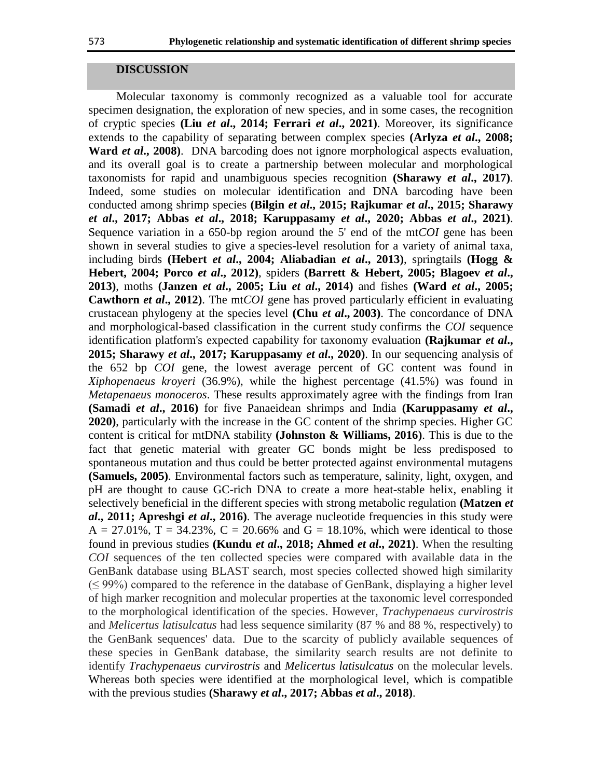#### **DISCUSSION**

Molecular taxonomy is commonly recognized as a valuable tool for accurate specimen designation, the exploration of new species, and in some cases, the recognition of cryptic species **(Liu** *et al***., 2014; Ferrari** *et al***., 2021)**. Moreover, its significance extends to the capability of separating between complex species **(Arlyza** *et al***., 2008; Ward** *et al***., 2008)**. DNA barcoding does not ignore morphological aspects evaluation, and its overall goal is to create a partnership between molecular and morphological taxonomists for rapid and unambiguous species recognition **(Sharawy** *et al***., 2017)**. Indeed, some studies on molecular identification and DNA barcoding have been conducted among shrimp species **(Bilgin** *et al***., 2015; Rajkumar** *et al***., 2015; Sharawy**  *et al***., 2017; Abbas** *et al***., 2018; Karuppasamy** *et al***., 2020; Abbas** *et al***., 2021)**. Sequence variation in a 650-bp region around the 5' end of the mt*COI* gene has been shown in several studies to give a species-level resolution for a variety of animal taxa, including birds **(Hebert** *et al***., 2004; Aliabadian** *et al***., 2013)**, springtails **(Hogg & Hebert, 2004; Porco** *et al***., 2012)**, spiders **(Barrett & Hebert, 2005; Blagoev** *et al***., 2013)**, moths **(Janzen** *et al***., 2005; Liu** *et al***., 2014)** and fishes **(Ward** *et al***., 2005; Cawthorn** *et al***., 2012)**. The mt*COI* gene has proved particularly efficient in evaluating crustacean phylogeny at the species level **(Chu** *et al***., [2003\)](https://link.springer.com/article/10.1007/s41208-020-00201-3#ref-CR21)**. The concordance of DNA and morphological-based classification in the current study confirms the *COI* sequence identification platform's expected capability for taxonomy evaluation **(Rajkumar** *et al***., 2015; Sharawy** *et al***., 2017; Karuppasamy** *et al***., 2020)**. In our sequencing analysis of the 652 bp *COI* gene, the lowest average percent of GC content was found in *Xiphopenaeus kroyeri* (36.9%), while the highest percentage (41.5%) was found in *Metapenaeus monoceros*. These results approximately agree with the findings from Iran **(Samadi** *et al***., 2016)** for five Panaeidean shrimps and India **(Karuppasamy** *et al***., 2020)**, particularly with the increase in the GC content of the shrimp species. Higher GC content is critical for mtDNA stability **(Johnston & Williams, 2016)**. This is due to the fact that genetic material with greater GC bonds might be less predisposed to spontaneous mutation and thus could be better protected against environmental mutagens **(Samuels, 2005)**. Environmental factors such as temperature, salinity, light, oxygen, and pH are thought to cause GC-rich DNA to create a more heat-stable helix, enabling it selectively beneficial in the different species with strong metabolic regulation **(Matzen** *et al***., 2011; Apreshgi** *et al***., 2016)**. The average nucleotide frequencies in this study were  $A = 27.01\%$ ,  $T = 34.23\%$ ,  $C = 20.66\%$  and  $G = 18.10\%$ , which were identical to those found in previous studies **(Kundu** *et al***., 2018; Ahmed** *et al***., 2021)**. When the resulting *COI* sequences of the ten collected species were compared with available data in the GenBank database using BLAST search, most species collected showed high similarity  $(\leq 99\%)$  compared to the reference in the database of GenBank, displaying a higher level of high marker recognition and molecular properties at the taxonomic level corresponded to the morphological identification of the species. However, *Trachypenaeus curvirostris* and *Melicertus latisulcatus* had less sequence similarity (87 % and 88 %, respectively) to the GenBank sequences' data. Due to the scarcity of publicly available sequences of these species in GenBank database, the similarity search results are not definite to identify *Trachypenaeus curvirostris* and *Melicertus latisulcatus* on the molecular levels. Whereas both species were identified at the morphological level, which is compatible with the previous studies **(Sharawy** *et al***., 2017; Abbas** *et al***., 2018)**.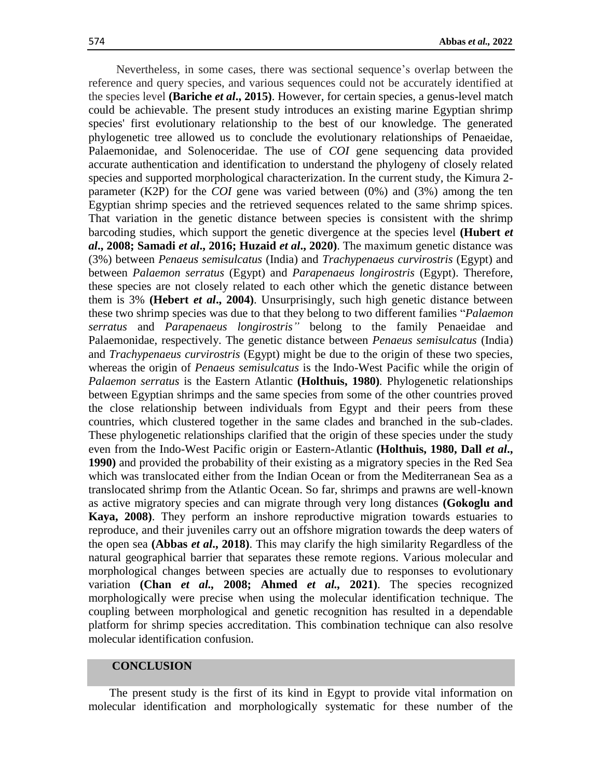Nevertheless, in some cases, there was sectional sequence's overlap between the reference and query species, and various sequences could not be accurately identified at the species level **(Bariche** *et al***., 2015)**. However, for certain species, a genus-level match could be achievable. The present study introduces an existing marine Egyptian shrimp species' first evolutionary relationship to the best of our knowledge. The generated phylogenetic tree allowed us to conclude the evolutionary relationships of Penaeidae, Palaemonidae, and Solenoceridae. The use of *COI* gene sequencing data provided accurate authentication and identification to understand the phylogeny of closely related species and supported morphological characterization. In the current study, the Kimura 2 parameter (K2P) for the *COI* gene was varied between (0%) and (3%) among the ten Egyptian shrimp species and the retrieved sequences related to the same shrimp spices. That variation in the genetic distance between species is consistent with the shrimp barcoding studies, which support the genetic divergence at the species level **(Hubert** *et al***., 2008; Samadi** *et al***., 2016; Huzaid** *et al***., 2020)**. The maximum genetic distance was (3%) between *Penaeus semisulcatus* (India) and *Trachypenaeus curvirostris* (Egypt) and between *Palaemon serratus* (Egypt) and *Parapenaeus longirostris* (Egypt). Therefore, these species are not closely related to each other which the genetic distance between them is 3% **(Hebert** *et al***., 2004)**. Unsurprisingly, such high genetic distance between these two shrimp species was due to that they belong to two different families "*Palaemon serratus* and *Parapenaeus longirostris"* belong to the family Penaeidae and Palaemonidae, respectively. The genetic distance between *Penaeus semisulcatus* (India) and *Trachypenaeus curvirostris* (Egypt) might be due to the origin of these two species, whereas the origin of *Penaeus semisulcatus* is the Indo-West Pacific while the origin of *Palaemon serratus* is the Eastern Atlantic **(Holthuis, 1980)***.* Phylogenetic relationships between Egyptian shrimps and the same species from some of the other countries proved the close relationship between individuals from Egypt and their peers from these countries, which clustered together in the same clades and branched in the sub-clades. These phylogenetic relationships clarified that the origin of these species under the study even from the Indo-West Pacific origin or Eastern-Atlantic **(Holthuis, 1980, Dall** *et al***., 1990)** and provided the probability of their existing as a migratory species in the Red Sea which was translocated either from the Indian Ocean or from the Mediterranean Sea as a translocated shrimp from the Atlantic Ocean. So far, shrimps and prawns are well-known as active migratory species and can migrate through very long distances **(Gokoglu and Kaya, 2008)**. They perform an inshore reproductive migration towards estuaries to reproduce, and their juveniles carry out an offshore migration towards the deep waters of the open sea **(Abbas** *et al***., 2018)**. This may clarify the high similarity Regardless of the natural geographical barrier that separates these remote regions. Various molecular and morphological changes between species are actually due to responses to evolutionary variation **(Chan** *et al.,* **2008; Ahmed** *et al.,* **2021)**. The species recognized morphologically were precise when using the molecular identification technique. The coupling between morphological and genetic recognition has resulted in a dependable platform for shrimp species accreditation. This combination technique can also resolve molecular identification confusion.

## **CONCLUSION**

The present study is the first of its kind in Egypt to provide vital information on molecular identification and morphologically systematic for these number of the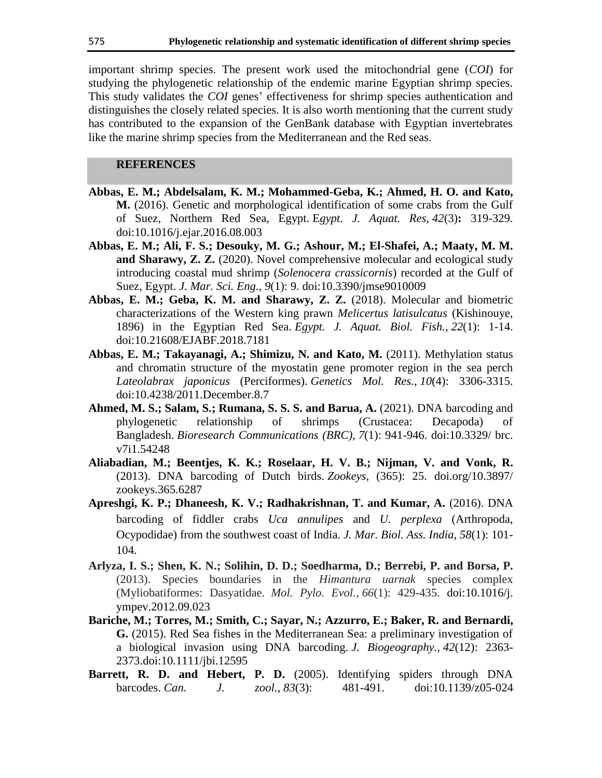important shrimp species. The present work used the mitochondrial gene (*COI*) for studying the phylogenetic relationship of the endemic marine Egyptian shrimp species. This study validates the *COI* genes' effectiveness for shrimp species authentication and distinguishes the closely related species. It is also worth mentioning that the current study has contributed to the expansion of the GenBank database with Egyptian invertebrates like the marine shrimp species from the Mediterranean and the Red seas.

## **REFERENCES**

- **Abbas, E. M.; Abdelsalam, K. M.; Mohammed-Geba, K.; Ahmed, H. O. and Kato, M.** (2016). Genetic and morphological identification of some crabs from the Gulf of Suez, Northern Red Sea, Egypt. E*gypt. J. Aquat. Res*, *42*(3)**:** 319-329. doi:10.1016/j.ejar.2016.08.003
- **Abbas, E. M.; Ali, F. S.; Desouky, M. G.; Ashour, M.; El-Shafei, A.; Maaty, M. M. and Sharawy, Z. Z.** (2020). Novel comprehensive molecular and ecological study introducing coastal mud shrimp (*Solenocera crassicornis*) recorded at the Gulf of Suez, Egypt. *J. Mar. Sci. Eng., 9*(1): 9. [doi:10.3390/jmse9010009](https://doi.org/10.3390/jmse9010009)
- **Abbas, E. M.; Geba, K. M. and Sharawy, Z. Z.** (2018). Molecular and biometric characterizations of the Western king prawn *Melicertus latisulcatus* (Kishinouye, 1896) in the Egyptian Red Sea. *Egypt. J. Aquat. Biol. Fish.*, *22*(1): 1-14. doi[:10.21608/EJABF.2018.7181](https://doi.org/10.21608/EJABF.2018.7181)
- **Abbas, E. M.; Takayanagi, A.; Shimizu, N. and Kato, M.** (2011). Methylation status and chromatin structure of the myostatin gene promoter region in the sea perch *Lateolabrax japonicus* (Perciformes). *Genetics Mol. Res.*, *10*(4): 3306-3315. doi[:10.4238/2011.December.8.7](http://dx.doi.org/10.4238/2011.December.8.7)
- **Ahmed, M. S.; Salam, S.; Rumana, S. S. S. and Barua, A.** (2021). DNA barcoding and phylogenetic relationship of shrimps (Crustacea: Decapoda) of Bangladesh. *Bioresearch Communications (BRC)*, *7*(1): 941-946. [doi:10.3329/](https://doi.org/10.3329/brc.v7i1.54248) brc. [v7i1.54248](https://doi.org/10.3329/brc.v7i1.54248)
- **Aliabadian, M.; Beentjes, K. K.; Roselaar, H. V. B.; Nijman, V. and Vonk, R.** (2013). DNA barcoding of Dutch birds. *Zookeys*, (365): 25. doi.org[/10.3897/](http://doi.org/10.3897/zookeys.365.6287) [zookeys.365.6287](http://doi.org/10.3897/zookeys.365.6287)
- **Apreshgi, K. P.; Dhaneesh, K. V.; Radhakrishnan, T. and Kumar, A.** (2016). DNA barcoding of fiddler crabs *Uca annulipes* and *U. perplexa* (Arthropoda, Ocypodidae) from the southwest coast of India. *J. Mar. Biol. Ass. India*, *58*(1): 101- 104.
- **Arlyza, I. S.; Shen, K. N.; Solihin, D. D.; Soedharma, D.; Berrebi, P. and Borsa, P.** (2013). Species boundaries in the *Himantura uarnak* species complex (Myliobatiformes: Dasyatidae. *Mol. Pylo. Evol.*, *66*(1): 429-435. [doi:10.1016/j.](https://doi.org/10.1016/j.ympev.2012.09.023) [ympev.2012.09.023](https://doi.org/10.1016/j.ympev.2012.09.023)
- **Bariche, M.; Torres, M.; Smith, C.; Sayar, N.; Azzurro, E.; Baker, R. and Bernardi, G.** (2015). Red Sea fishes in the Mediterranean Sea: a preliminary investigation of a biological invasion using DNA barcoding. *J. Biogeography.*, *42*(12): 2363- 2373[.doi:10.1111/jbi.12595](https://doi.org/10.1111/jbi.12595)
- **Barrett, R. D. and Hebert, P. D.** (2005). Identifying spiders through DNA barcodes. *Can. J. zool.*, *83*(3): 481-491. doi[:10.1139/z05-024](http://dx.doi.org/10.1139/z05-024)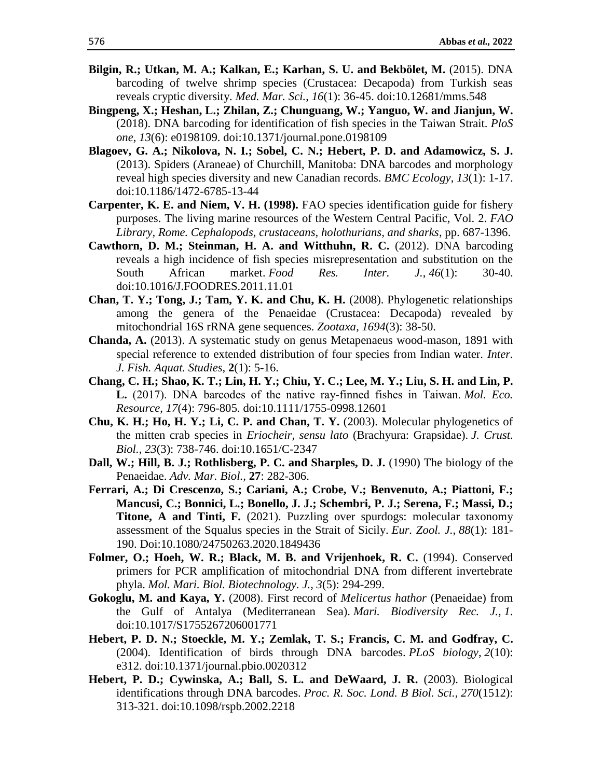- **Bilgin, R.; Utkan, M. A.; Kalkan, E.; Karhan, S. U. and Bekbölet, M.** (2015). DNA barcoding of twelve shrimp species (Crustacea: Decapoda) from Turkish seas reveals cryptic diversity. *Med. Mar. Sci.*, *16*(1): 36-45. [doi:10.12681/mms.548](https://doi.org/10.12681/mms.548)
- **Bingpeng, X.; Heshan, L.; Zhilan, Z.; Chunguang, W.; Yanguo, W. and Jianjun, W.**  (2018). DNA barcoding for identification of fish species in the Taiwan Strait. *PloS one*, *13*(6): e0198109. [doi:10.1371/journal.pone.0198109](https://doi.org/10.1371/journal.pone.0198109)
- **Blagoev, G. A.; Nikolova, N. I.; Sobel, C. N.; Hebert, P. D. and Adamowicz, S. J.** (2013). Spiders (Araneae) of Churchill, Manitoba: DNA barcodes and morphology reveal high species diversity and new Canadian records. *BMC Ecology*, *13*(1): 1-17. [doi:10.1186/1472-6785-13-44](https://doi.org/10.1186/1472-6785-13-44)
- **Carpenter, K. E. and Niem, V. H. (1998).** FAO species identification guide for fishery purposes. The living marine resources of the Western Central Pacific, Vol. 2. *FAO Library, Rome. Cephalopods, crustaceans, holothurians, and sharks*, pp. 687*-*1396.
- **Cawthorn, D. M.; Steinman, H. A. and Witthuhn, R. C.** (2012). DNA barcoding reveals a high incidence of fish species misrepresentation and substitution on the South African market. *Food Res. Inter. J.*, *46*(1): 30-40. doi[:10.1016/J.FOODRES.2011.11.01](https://doi.org/10.1016/J.FOODRES.2011.11.011)
- **Chan, T. Y.; Tong, J.; Tam, Y. K. and Chu, K. H.** (2008). Phylogenetic relationships among the genera of the Penaeidae (Crustacea: Decapoda) revealed by mitochondrial 16S rRNA gene sequences. *Zootaxa*, *1694*(3): 38-50.
- **Chanda, A.** (2013). A systematic study on genus Metapenaeus wood-mason, 1891 with special reference to extended distribution of four species from Indian water. *Inter. J. Fish. Aquat. Studies,* **2**(1): 5-16.
- **Chang, C. H.; Shao, K. T.; Lin, H. Y.; Chiu, Y. C.; Lee, M. Y.; Liu, S. H. and Lin, P. L.** (2017). DNA barcodes of the native ray‐finned fishes in Taiwan. *Mol. Eco. Resource*, *17*(4): 796-805. [doi:10.1111/1755-0998.12601](https://doi.org/10.1111/1755-0998.12601)
- **Chu, K. H.; Ho, H. Y.; Li, C. P. and Chan, T. Y.** (2003). Molecular phylogenetics of the mitten crab species in *Eriocheir, sensu lato* (Brachyura: Grapsidae). *J. Crust. Biol.*, *23*(3): 738-746. [doi:](http://scholars.ntou.edu.tw/handle/123456789/15689)[10.1651/C-2347](https://doi.org/10.1651/C-2347)
- **Dall, W.; Hill, B. J.; Rothlisberg, P. C. and Sharples, D. J.** (1990) The biology of the Penaeidae. *Adv. Mar. Biol.,* **27**: 282-306.
- **Ferrari, A.; Di Crescenzo, S.; Cariani, A.; Crobe, V.; Benvenuto, A.; Piattoni, F.; Mancusi, C.; Bonnici, L.; Bonello, J. J.; Schembri, P. J.; Serena, F.; Massi, D.; Titone, A and Tinti, F.** (2021). Puzzling over spurdogs: molecular taxonomy assessment of the Squalus species in the Strait of Sicily. *Eur. Zool. J.*, *88*(1): 181- 190. Doi[:10.1080/24750263.2020.1849436](https://www.x-mol.com/paperRedirect/1359334442020409344)
- **Folmer, O.; Hoeh, W. R.; Black, M. B. and Vrijenhoek, R. C.** (1994). Conserved primers for PCR amplification of mitochondrial DNA from different invertebrate phyla. *Mol. Mari. Biol. Biotechnology. J.*, *3*(5): 294-299.
- **Gokoglu, M. and Kaya, Y.** (2008). First record of *Melicertus hathor* (Penaeidae) from the Gulf of Antalya (Mediterranean Sea). *Mari. Biodiversity Rec. J.*, *1*. doi:10.1017/S1755267206001771
- **Hebert, P. D. N.; Stoeckle, M. Y.; Zemlak, T. S.; Francis, C. M. and Godfray, C.** (2004). Identification of birds through DNA barcodes. *PLoS biology*, *2*(10): e312. [doi:10.1371/journal.pbio.0020312](https://doi.org/10.1371/journal.pbio.0020312)
- **Hebert, P. D.; Cywinska, A.; Ball, S. L. and DeWaard, J. R.** (2003). Biological identifications through DNA barcodes. *Proc. R. Soc. Lond. B Biol. Sci.*, *270*(1512): 313-321. doi[:10.1098/rspb.2002.2218](https://doi.org/10.1098/rspb.2002.2218)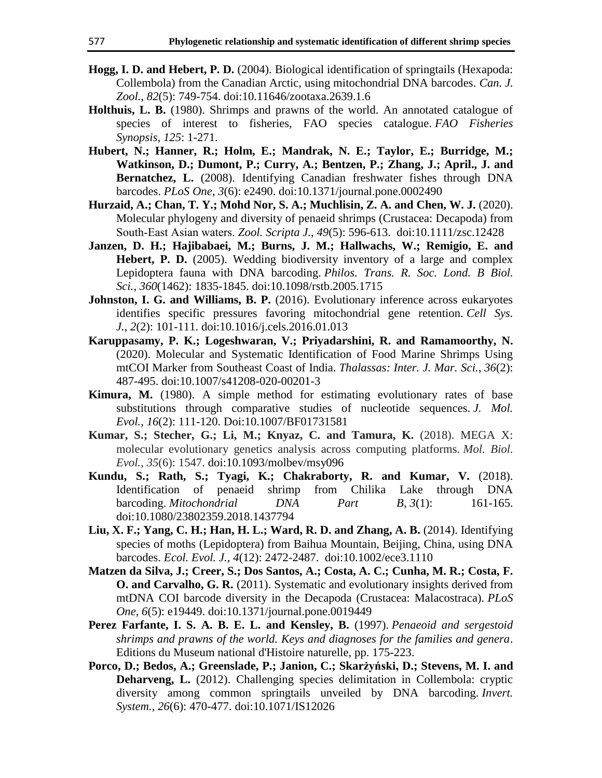- **Hogg, I. D. and Hebert, P. D.** (2004). Biological identification of springtails (Hexapoda: Collembola) from the Canadian Arctic, using mitochondrial DNA barcodes. *Can. J. Zool.*, *82*(5): 749-754. [doi:10.11646/zootaxa.2639.1.6](https://doi.org/10.11646/zootaxa.2639.1.6)
- **Holthuis, L. B.** (1980). Shrimps and prawns of the world. An annotated catalogue of species of interest to fisheries, FAO species catalogue. *FAO Fisheries Synopsis*, *125*: 1-271.
- **Hubert, N.; Hanner, R.; Holm, E.; Mandrak, N. E.; Taylor, E.; Burridge, M.; Watkinson, D.; Dumont, P.; Curry, A.; Bentzen, P.; Zhang, J.; April., J. and Bernatchez, L.** (2008). Identifying Canadian freshwater fishes through DNA barcodes. *PLoS One*, *3*(6): e2490. [doi:10.1371/journal.pone.0002490](https://doi.org/10.1371/journal.pone.0002490)
- **Hurzaid, A.; Chan, T. Y.; Mohd Nor, S. A.; Muchlisin, Z. A. and Chen, W. J.** (2020). Molecular phylogeny and diversity of penaeid shrimps (Crustacea: Decapoda) from South‐East Asian waters. *Zool. Scripta J.*, *49*(5): 596-613. [doi:10.1111/zsc.12428](https://doi.org/10.1111/zsc.12428)
- **Janzen, D. H.; Hajibabaei, M.; Burns, J. M.; Hallwachs, W.; Remigio, E. and Hebert, P. D.** (2005). Wedding biodiversity inventory of a large and complex Lepidoptera fauna with DNA barcoding. *Philos. Trans. R. Soc. Lond. B Biol. Sci., 360*(1462): 1835-1845. doi[:10.1098/rstb.2005.1715](https://dx.doi.org/10.1098%2Frstb.2005.1715)
- **Johnston, I. G. and Williams, B. P.** (2016). Evolutionary inference across eukaryotes identifies specific pressures favoring mitochondrial gene retention. *Cell Sys. J.*, *2*(2): 101-111. [doi:10.1016/j.cels.2016.01.013](https://doi.org/10.1016/j.cels.2016.01.013)
- **Karuppasamy, P. K.; Logeshwaran, V.; Priyadarshini, R. and Ramamoorthy, N.**  (2020). Molecular and Systematic Identification of Food Marine Shrimps Using mtCOI Marker from Southeast Coast of India. *Thalassas: Inter. J. Mar. Sci.*, *36*(2): 487-495. [doi:10.1007/s41208-020-00201-3](https://doi.org/10.1007/s41208-020-00201-3)
- **Kimura, M.** (1980). A simple method for estimating evolutionary rates of base substitutions through comparative studies of nucleotide sequences. *J. Mol. Evol.*, *16*(2): 111-120. Doi[:10.1007/BF01731581](https://doi.org/10.1007/BF01731581)
- **Kumar, S.; Stecher, G.; Li, M.; Knyaz, C. and Tamura, K.** (2018). MEGA X: molecular evolutionary genetics analysis across computing platforms. *Mol. Biol. Evol.*, *35*(6): 1547. doi[:10.1093/molbev/msy096](https://doi.org/10.1093/molbev/msy096)
- **Kundu, S.; Rath, S.; Tyagi, K.; Chakraborty, R. and Kumar, V.** (2018). Identification of penaeid shrimp from Chilika Lake through DNA barcoding. *Mitochondrial DNA Part B*, *3*(1): 161-165. doi:10.1080/23802359.2018.1437794
- **Liu, X. F.; Yang, C. H.; Han, H. L.; Ward, R. D. and Zhang, A. B.** (2014). Identifying species of moths (Lepidoptera) from Baihua Mountain, Beijing, China, using DNA barcodes. *Ecol. Evol. J.*, *4*(12): 2472-2487. [doi:10.1002/ece3.1110](https://doi.org/10.1002/ece3.1110)
- **Matzen da Silva, J.; Creer, S.; Dos Santos, A.; Costa, A. C.; Cunha, M. R.; Costa, F. O. and Carvalho, G. R.** (2011). Systematic and evolutionary insights derived from mtDNA COI barcode diversity in the Decapoda (Crustacea: Malacostraca). *PLoS One*, *6*(5): e19449. [doi:10.1371/journal.pone.0019449](https://doi.org/10.1371/journal.pone.0019449)
- **Perez Farfante, I. S. A. B. E. L. and Kensley, B.** (1997). *Penaeoid and sergestoid shrimps and prawns of the world. Keys and diagnoses for the families and genera*. Editions du Museum national d'Histoire naturelle, pp. 175-223.
- **Porco, D.; Bedos, A.; Greenslade, P.; Janion, C.; Skarżyński, D.; Stevens, M. I. and Deharveng, L.** (2012). Challenging species delimitation in Collembola: cryptic diversity among common springtails unveiled by DNA barcoding. *Invert. System.*, *26*(6): 470-477. doi:10.1071/IS12026